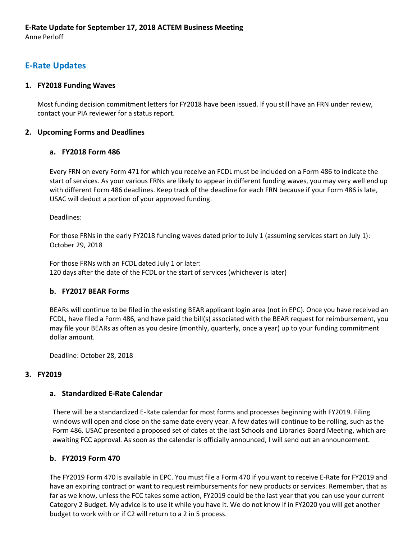Anne Perloff

# **E-Rate Updates**

### **1. FY2018 Funding Waves**

Most funding decision commitment letters for FY2018 have been issued. If you still have an FRN under review, contact your PIA reviewer for a status report.

### **2. Upcoming Forms and Deadlines**

### **a. FY2018 Form 486**

Every FRN on every Form 471 for which you receive an FCDL must be included on a Form 486 to indicate the start of services. As your various FRNs are likely to appear in different funding waves, you may very well end up with different Form 486 deadlines. Keep track of the deadline for each FRN because if your Form 486 is late, USAC will deduct a portion of your approved funding.

Deadlines:

For those FRNs in the early FY2018 funding waves dated prior to July 1 (assuming services start on July 1): October 29, 2018

For those FRNs with an FCDL dated July 1 or later: 120 days after the date of the FCDL or the start of services (whichever is later)

### **b. FY2017 BEAR Forms**

BEARs will continue to be filed in the existing BEAR applicant login area (not in EPC). Once you have received an FCDL, have filed a Form 486, and have paid the bill(s) associated with the BEAR request for reimbursement, you may file your BEARs as often as you desire (monthly, quarterly, once a year) up to your funding commitment dollar amount.

Deadline: October 28, 2018

### **3. FY2019**

### **a. Standardized E-Rate Calendar**

There will be a standardized E-Rate calendar for most forms and processes beginning with FY2019. Filing windows will open and close on the same date every year. A few dates will continue to be rolling, such as the Form 486. USAC presented a proposed set of dates at the last Schools and Libraries Board Meeting, which are awaiting FCC approval. As soon as the calendar is officially announced, I will send out an announcement.

### **b. FY2019 Form 470**

The FY2019 Form 470 is available in EPC. You must file a Form 470 if you want to receive E-Rate for FY2019 and have an expiring contract or want to request reimbursements for new products or services. Remember, that as far as we know, unless the FCC takes some action, FY2019 could be the last year that you can use your current Category 2 Budget. My advice is to use it while you have it. We do not know if in FY2020 you will get another budget to work with or if C2 will return to a 2 in 5 process.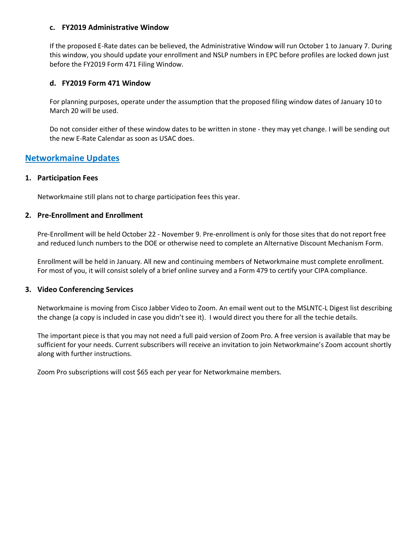#### **c. FY2019 Administrative Window**

If the proposed E-Rate dates can be believed, the Administrative Window will run October 1 to January 7. During this window, you should update your enrollment and NSLP numbers in EPC before profiles are locked down just before the FY2019 Form 471 Filing Window.

#### **d. FY2019 Form 471 Window**

For planning purposes, operate under the assumption that the proposed filing window dates of January 10 to March 20 will be used.

Do not consider either of these window dates to be written in stone - they may yet change. I will be sending out the new E-Rate Calendar as soon as USAC does.

# **Networkmaine Updates**

#### **1. Participation Fees**

Networkmaine still plans not to charge participation fees this year.

#### **2. Pre-Enrollment and Enrollment**

Pre-Enrollment will be held October 22 - November 9. Pre-enrollment is only for those sites that do not report free and reduced lunch numbers to the DOE or otherwise need to complete an Alternative Discount Mechanism Form.

Enrollment will be held in January. All new and continuing members of Networkmaine must complete enrollment. For most of you, it will consist solely of a brief online survey and a Form 479 to certify your CIPA compliance.

#### **3. Video Conferencing Services**

Networkmaine is moving from Cisco Jabber Video to Zoom. An email went out to the MSLNTC-L Digest list describing the change (a copy is included in case you didn't see it). I would direct you there for all the techie details.

The important piece is that you may not need a full paid version of Zoom Pro. A free version is available that may be sufficient for your needs. Current subscribers will receive an invitation to join Networkmaine's Zoom account shortly along with further instructions.

Zoom Pro subscriptions will cost \$65 each per year for Networkmaine members.